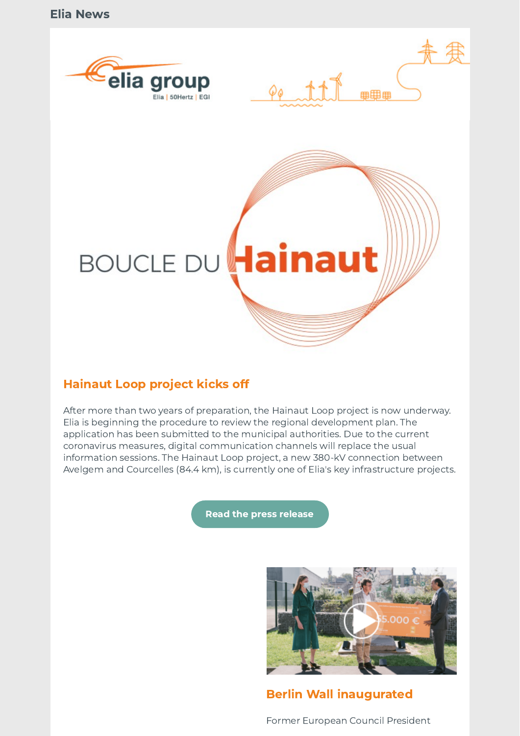





# Hainaut Loop project kicks off

After more than two years of preparation, the Hainaut Loop project is now underway. Elia is beginning the procedure to review the regional development plan. The application has been submitted to the municipal authorities. Due to the current coronavirus measures, digital communication channels will replace the usual information sessions. The Hainaut Loop project, a new 380-kV connection between Avelgem and Courcelles (84.4 km), is currently one of Elia's key infrastructure projects.

[Read the press release](http://link.newsletters.elia.be/mm/LC_7309_1089169_Y324F7QSF36X_49040_MYyEKZT52CBvKn0aghJYtEbuDUaCP3J4n364UgF0z3SVeyVypMzQQeVkgenK9xyRxiyuNtdEThOZDCPrXkX+gDmtDMPfXES0+SmuN3RVBIXUg5lBHkF+F8-kK4JTIH9KKPAZB6iUaF9keIuC4NxOTbQ04JWMGAUS3+ai0l1SZes=.act)



Berlin Wall inaugurated

Former European Council President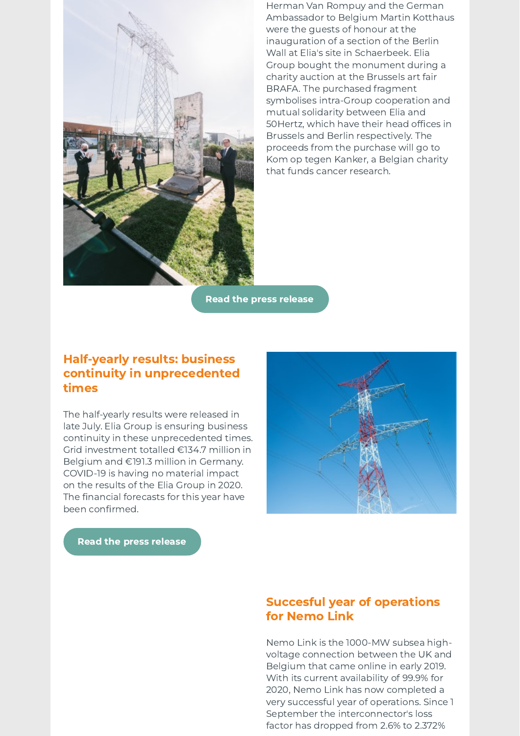

Herman Van Rompuy and the German Ambassador to Belgium Martin Kotthaus were the guests of honour at the inauguration of a section of the Berlin Wall at Elia's site in Schaerbeek. Elia Group bought the monument during a charity auction at the Brussels art fair BRAFA. The purchased fragment symbolises intra-Group cooperation and mutual solidarity between Elia and 50Hertz, which have their head offices in Brussels and Berlin respectively. The proceeds from the purchase will go to Kom op tegen Kanker, a Belgian charity that funds cancer research.

Read the press [release](http://link.newsletters.elia.be/mm/LC_7309_1089169_Y324F7QSF36X_49042_20KLeorG8jFmU0gabwlbrerOx4sS5iEsNLL29TQJ7o7D1zC9WtvwsVH8Aqzgtgqiw+iv5ajFhbN07+M2siBMCpwWblkAvzH9QcYJ58Vpjste08bqi51uCHcwI8iEF-8eOkM2dYEYdoSg2FD89E9k9Q==.act)

### Half-yearly results: business continuity in unprecedented times

The half-yearly results were released in late July. Elia Group is ensuring business continuity in these unprecedented times. Grid investment totalled €134.7 million in Belgium and €191.3 million in Germany. COVID-19 is having no material impact on the results of the Elia Group in 2020. The financial forecasts for this year have been confirmed.

Read the press [release](http://link.newsletters.elia.be/mm/LC_7309_1089169_Y324F7QSF36X_49043_DuICHVRBMi4f0hKFXepo93ItZ6-wBJ2I9411Vpz-0qh9F9ipXbXx94sC7x9Td2-KobJRwZwEFii7XOLKfO3YH6xDZYpNcKP6TGtFfI7xDtkmk4-Y4diInD3UIDhp1-5A07uhxzVuIv6ZfHnEpNTSrIj-Tp81w99mTco74B1F2No=.act)

## Succesful year of operations for Nemo Link

Nemo Link is the 1000-MW subsea highvoltage connection between the UK and Belgium that came online in early 2019. With its current availability of 99.9% for 2020, Nemo Link has now completed a very successful year of operations. Since 1 September the interconnector's loss factor has dropped from 2.6% to 2.372%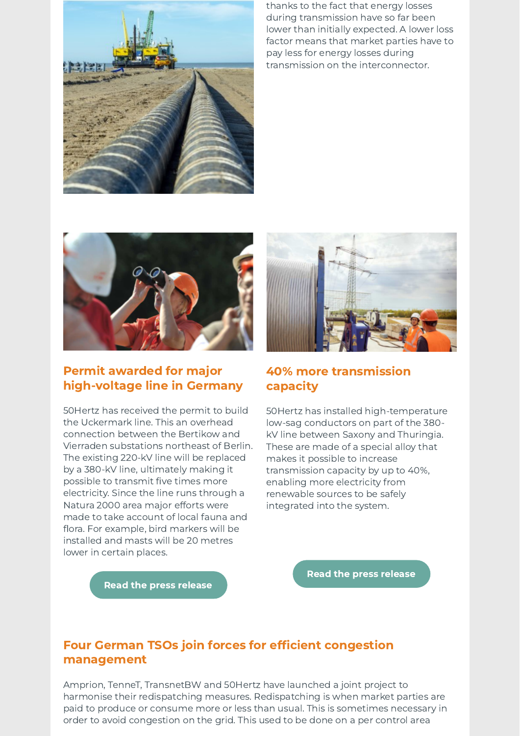

thanks to the fact that energy losses during transmission have so far been lower than initially expected. A lower loss factor means that market parties have to pay less for energy losses during transmission on the interconnector.



# Permit awarded for major high-voltage line in Germany

50Hertz has received the permit to build the Uckermark line. This an overhead connection between the Bertikow and Vierraden substations northeast of Berlin. The existing 220-kV line will be replaced by a 380-kV line, ultimately making it possible to transmit five times more electricity. Since the line runs through a Natura 2000 area major efforts were made to take account of local fauna and flora. For example, bird markers will be installed and masts will be 20 metres lower in certain places.



### 40% more transmission capacity

50Hertz has installed high-temperature low-sag conductors on part of the 380 kV line between Saxony and Thuringia. These are made of a special alloy that makes it possible to increase transmission capacity by up to 40%, enabling more electricity from renewable sources to be safely integrated into the system.

Read the press [release](http://link.newsletters.elia.be/mm/LC_7309_1089169_Y324F7QSF36X_49045_iYaN8tbWAZ3v5DbccLIthDwvX4C+55MSS5UL+qk0HS9b3BoCcR33Fs0eZk8VweasBGnAnNYLquG5YPATK4OWMQsUBGtiKDIPV+EC2lm+8ab5QgIIVDAZTGC0zjSFj8v3j7PZpZTr70YS5n41Gj6bgjj0mFvss0o-aDPS7LSaZjAihVtGa+UJDN4DJg5wEfTiJg4Yu3fJpzTxEMeU2pn6zKupwx4dvnq48efCKhvN3BoiSbodp5RrDqgOxVZ4N1Qt.act)

Read the press [release](http://link.newsletters.elia.be/mm/LC_7309_1089169_Y324F7QSF36X_49044_vrqAGBO1JNaXRvjzVqzYlKbRswh9Wd-D4DYsEThaEsVwJIU4+t5sZk6q5jsdd6UxwlM-7YV8KMY8rNRxlwZHhJ7J4NOqQANRzQI6VThIyoRN-SDm1QA-oeryvn43BHDRjWU-cnggLfFyzmQgHkT1TU-FX6xC-vCC72rnsC51qezTg9PA7vWoA0YqYdoX50du.act)

## Four German TSOs join forces for efficient congestion management

Amprion, TenneT, TransnetBW and 50Hertz have launched a joint project to harmonise their redispatching measures. Redispatching is when market parties are paid to produce or consume more or less than usual. This is sometimes necessary in order to avoid congestion on the grid. This used to be done on a per control area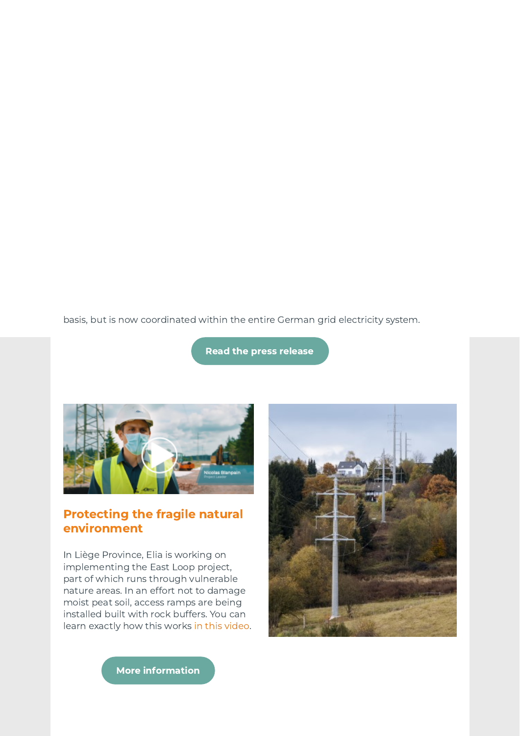basis, but is now coordinated [within](http://link.newsletters.elia.be/mm/LC_7309_1089169_Y324F7QSF36X_49046_Mq-5lgiVWl2aCBuYaZcw9fxdP66yYvwCNEXUcSD4JwULbRyJqW0daTXK-3K8Bz3gCrv-2hr3M+ppQBADk378EA==.act) the entire German grid electricity system.

[Re](http://link.newsletters.elia.be/mm/LC_7309_1089169_Y324F7QSF36X_49047_cubeH56BJqJKsg+nemmLmy07eyTk7+jnWf8pYLQN+VQY66DZm8NIVXUWwwxIi7STCNmpw5UwBGDQjTFOY4S0rZgp7NO1PRJ5l9N+Y3MUuotDG7YIiGHaHi8vZXdobDsqaFwtNOnyC3fu8P+wK5x-5Q==.act)ad the press release



# Protecting the fragile natural environment

In Liège Province, Elia is working on implementing the East Loop project, part of which runs through vulnerable nature areas. In an effort not to damage moist peat soil, access ramps are being installed built with rock buffers. You can learn exactly how this works in this video.



More information